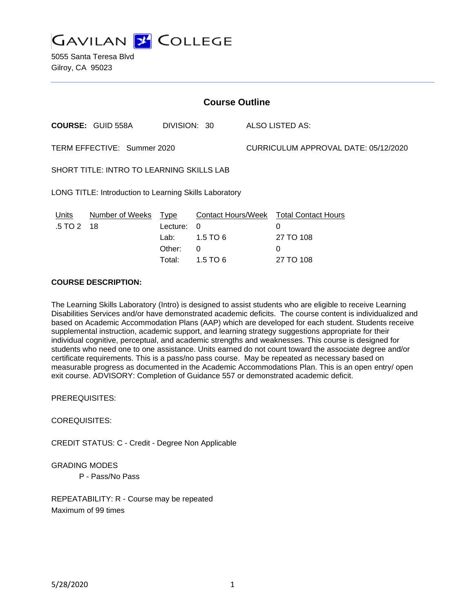

5055 Santa Teresa Blvd Gilroy, CA 95023

| <b>Course Outline</b>                                  |                          |                                      |                                                |                                      |                                                                                   |  |
|--------------------------------------------------------|--------------------------|--------------------------------------|------------------------------------------------|--------------------------------------|-----------------------------------------------------------------------------------|--|
|                                                        | <b>COURSE: GUID 558A</b> | DIVISION: 30                         |                                                |                                      | ALSO LISTED AS:                                                                   |  |
| TERM EFFECTIVE: Summer 2020                            |                          |                                      |                                                | CURRICULUM APPROVAL DATE: 05/12/2020 |                                                                                   |  |
| SHORT TITLE: INTRO TO LEARNING SKILLS LAB              |                          |                                      |                                                |                                      |                                                                                   |  |
| LONG TITLE: Introduction to Learning Skills Laboratory |                          |                                      |                                                |                                      |                                                                                   |  |
| Units<br>$.5 \, \text{T} \text{O} \, 2 \, 18$          | Number of Weeks Type     | Lecture:<br>Lab:<br>Other:<br>Total: | $\Omega$<br>$1.5$ TO 6<br>$\Omega$<br>1.5 TO 6 |                                      | Contact Hours/Week Total Contact Hours<br>0<br>27 TO 108<br>$\Omega$<br>27 TO 108 |  |

# **COURSE DESCRIPTION:**

The Learning Skills Laboratory (Intro) is designed to assist students who are eligible to receive Learning Disabilities Services and/or have demonstrated academic deficits. The course content is individualized and based on Academic Accommodation Plans (AAP) which are developed for each student. Students receive supplemental instruction, academic support, and learning strategy suggestions appropriate for their individual cognitive, perceptual, and academic strengths and weaknesses. This course is designed for students who need one to one assistance. Units earned do not count toward the associate degree and/or certificate requirements. This is a pass/no pass course. May be repeated as necessary based on measurable progress as documented in the Academic Accommodations Plan. This is an open entry/ open exit course. ADVISORY: Completion of Guidance 557 or demonstrated academic deficit.

PREREQUISITES:

COREQUISITES:

CREDIT STATUS: C - Credit - Degree Non Applicable

#### GRADING MODES

P - Pass/No Pass

REPEATABILITY: R - Course may be repeated Maximum of 99 times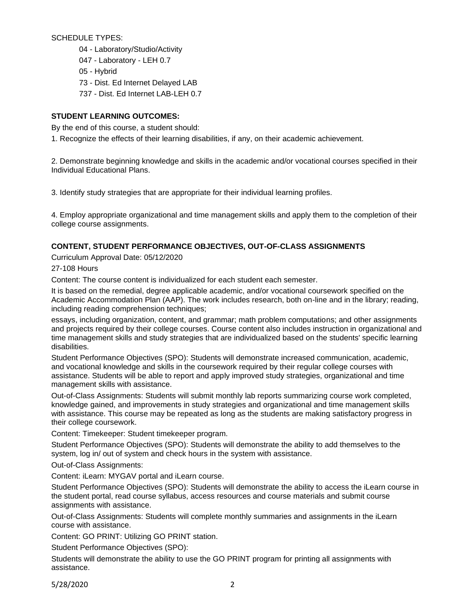SCHEDULE TYPES:

04 - Laboratory/Studio/Activity 047 - Laboratory - LEH 0.7 05 - Hybrid 73 - Dist. Ed Internet Delayed LAB 737 - Dist. Ed Internet LAB-LEH 0.7

# **STUDENT LEARNING OUTCOMES:**

By the end of this course, a student should:

1. Recognize the effects of their learning disabilities, if any, on their academic achievement.

2. Demonstrate beginning knowledge and skills in the academic and/or vocational courses specified in their Individual Educational Plans.

3. Identify study strategies that are appropriate for their individual learning profiles.

4. Employ appropriate organizational and time management skills and apply them to the completion of their college course assignments.

# **CONTENT, STUDENT PERFORMANCE OBJECTIVES, OUT-OF-CLASS ASSIGNMENTS**

Curriculum Approval Date: 05/12/2020

27-108 Hours

Content: The course content is individualized for each student each semester.

It is based on the remedial, degree applicable academic, and/or vocational coursework specified on the Academic Accommodation Plan (AAP). The work includes research, both on-line and in the library; reading, including reading comprehension techniques;

essays, including organization, content, and grammar; math problem computations; and other assignments and projects required by their college courses. Course content also includes instruction in organizational and time management skills and study strategies that are individualized based on the students' specific learning disabilities.

Student Performance Objectives (SPO): Students will demonstrate increased communication, academic, and vocational knowledge and skills in the coursework required by their regular college courses with assistance. Students will be able to report and apply improved study strategies, organizational and time management skills with assistance.

Out-of-Class Assignments: Students will submit monthly lab reports summarizing course work completed, knowledge gained, and improvements in study strategies and organizational and time management skills with assistance. This course may be repeated as long as the students are making satisfactory progress in their college coursework.

Content: Timekeeper: Student timekeeper program.

Student Performance Objectives (SPO): Students will demonstrate the ability to add themselves to the system, log in/ out of system and check hours in the system with assistance.

Out-of-Class Assignments:

Content: iLearn: MYGAV portal and iLearn course.

Student Performance Objectives (SPO): Students will demonstrate the ability to access the iLearn course in the student portal, read course syllabus, access resources and course materials and submit course assignments with assistance.

Out-of-Class Assignments: Students will complete monthly summaries and assignments in the iLearn course with assistance.

Content: GO PRINT: Utilizing GO PRINT station.

Student Performance Objectives (SPO):

Students will demonstrate the ability to use the GO PRINT program for printing all assignments with assistance.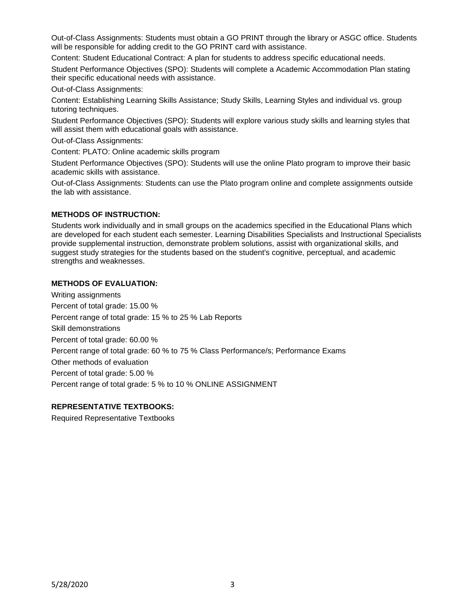Out-of-Class Assignments: Students must obtain a GO PRINT through the library or ASGC office. Students will be responsible for adding credit to the GO PRINT card with assistance.

Content: Student Educational Contract: A plan for students to address specific educational needs.

Student Performance Objectives (SPO): Students will complete a Academic Accommodation Plan stating their specific educational needs with assistance.

Out-of-Class Assignments:

Content: Establishing Learning Skills Assistance; Study Skills, Learning Styles and individual vs. group tutoring techniques.

Student Performance Objectives (SPO): Students will explore various study skills and learning styles that will assist them with educational goals with assistance.

Out-of-Class Assignments:

Content: PLATO: Online academic skills program

Student Performance Objectives (SPO): Students will use the online Plato program to improve their basic academic skills with assistance.

Out-of-Class Assignments: Students can use the Plato program online and complete assignments outside the lab with assistance.

### **METHODS OF INSTRUCTION:**

Students work individually and in small groups on the academics specified in the Educational Plans which are developed for each student each semester. Learning Disabilities Specialists and Instructional Specialists provide supplemental instruction, demonstrate problem solutions, assist with organizational skills, and suggest study strategies for the students based on the student's cognitive, perceptual, and academic strengths and weaknesses.

### **METHODS OF EVALUATION:**

Writing assignments Percent of total grade: 15.00 % Percent range of total grade: 15 % to 25 % Lab Reports Skill demonstrations Percent of total grade: 60.00 % Percent range of total grade: 60 % to 75 % Class Performance/s; Performance Exams Other methods of evaluation Percent of total grade: 5.00 % Percent range of total grade: 5 % to 10 % ONLINE ASSIGNMENT

### **REPRESENTATIVE TEXTBOOKS:**

Required Representative Textbooks